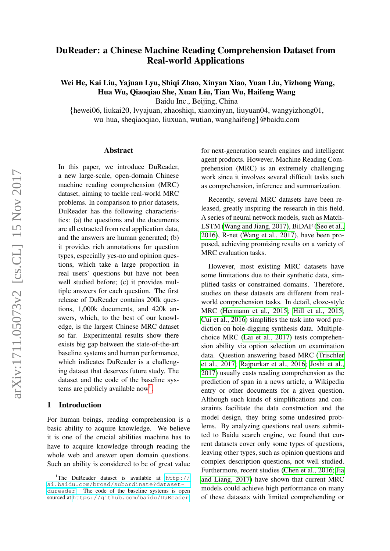# <span id="page-0-1"></span>DuReader: a Chinese Machine Reading Comprehension Dataset from Real-world Applications

Wei He, Kai Liu, Yajuan Lyu, Shiqi Zhao, Xinyan Xiao, Yuan Liu, Yizhong Wang, Hua Wu, Qiaoqiao She, Xuan Liu, Tian Wu, Haifeng Wang

Baidu Inc., Beijing, China

{hewei06, liukai20, lvyajuan, zhaoshiqi, xiaoxinyan, liuyuan04, wangyizhong01, wu hua, sheqiaoqiao, liuxuan, wutian, wanghaifeng}@baidu.com

#### Abstract

In this paper, we introduce DuReader, a new large-scale, open-domain Chinese machine reading comprehension (MRC) dataset, aiming to tackle real-world MRC problems. In comparison to prior datasets, DuReader has the following characteristics: (a) the questions and the documents are all extracted from real application data, and the answers are human generated; (b) it provides rich annotations for question types, especially yes-no and opinion questions, which take a large proportion in real users' questions but have not been well studied before; (c) it provides multiple answers for each question. The first release of DuReader contains 200k questions, 1,000k documents, and 420k answers, which, to the best of our knowledge, is the largest Chinese MRC dataset so far. Experimental results show there exists big gap between the state-of-the-art baseline systems and human performance, which indicates DuReader is a challenging dataset that deserves future study. The dataset and the code of the baseline sys-tems are publicly available now<sup>[1](#page-0-0)</sup>.

#### 1 Introduction

For human beings, reading comprehension is a basic ability to acquire knowledge. We believe it is one of the crucial abilities machine has to have to acquire knowledge through reading the whole web and answer open domain questions. Such an ability is considered to be of great value for next-generation search engines and intelligent agent products. However, Machine Reading Comprehension (MRC) is an extremely challenging work since it involves several difficult tasks such as comprehension, inference and summarization.

Recently, several MRC datasets have been released, greatly inspiring the research in this field. A series of neural network models, such as Match-LSTM [\(Wang and Jiang, 2017\)](#page-8-0), BiDAF [\(Seo et al.,](#page-8-1) [2016\)](#page-8-1), R-net [\(Wang et al., 2017\)](#page-8-2), have been proposed, achieving promising results on a variety of MRC evaluation tasks.

However, most existing MRC datasets have some limitations due to their synthetic data, simplified tasks or constrained domains. Therefore, studies on these datasets are different from realworld comprehension tasks. In detail, cloze-style MRC [\(Hermann et al., 2015;](#page-7-0) [Hill et al., 2015;](#page-7-1) [Cui et al., 2016\)](#page-7-2) simplifies the task into word prediction on hole-digging synthesis data. Multiplechoice MRC [\(Lai et al., 2017\)](#page-7-3) tests comprehension ability via option selection on examination data. Question answering based MRC [\(Trischler](#page-8-3) [et al., 2017;](#page-8-3) [Rajpurkar et al., 2016;](#page-8-4) [Joshi et al.,](#page-7-4) [2017\)](#page-7-4) usually casts reading comprehension as the prediction of span in a news article, a Wikipedia entry or other documents for a given question. Although such kinds of simplifications and constraints facilitate the data construction and the model design, they bring some undesired problems. By analyzing questions real users submitted to Baidu search engine, we found that current datasets cover only some types of questions, leaving other types, such as opinion questions and complex description questions, not well studied. Furthermore, recent studies [\(Chen et al., 2016;](#page-7-5) [Jia](#page-7-6) [and Liang, 2017\)](#page-7-6) have shown that current MRC models could achieve high performance on many of these datasets with limited comprehending or

<span id="page-0-0"></span><sup>&</sup>lt;sup>1</sup>The DuReader dataset is available at  $h$ ttp:// [ai.baidu.com/broad/subordinate?dataset=](http://ai.baidu.com/broad/subordinate?dataset=dureader) [dureader](http://ai.baidu.com/broad/subordinate?dataset=dureader). The code of the baseline systems is open sourced at <https://github.com/baidu/DuReader>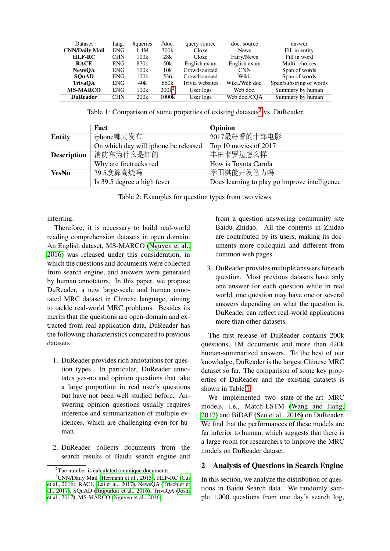| <b>Dataset</b>        | lang.      | #queries | #doc.           | query source    | doc. source    | answer                  |
|-----------------------|------------|----------|-----------------|-----------------|----------------|-------------------------|
| <b>CNN/Daily Mail</b> | <b>ENG</b> | 1.4M     | 300k            | Cloze           | <b>News</b>    | Fill in entity          |
| HLF-RC                | <b>CHN</b> | 100k     | 28k             | Cloze           | Fairy/News     | Fill in word            |
| <b>RACE</b>           | ENG.       | 870k     | 50 <sub>k</sub> | English exam    | English exam   | Multi, choices          |
| <b>NewsOA</b>         | <b>ENG</b> | 100k     | 10k             | Crowdsourced    | <b>CNN</b>     | Span of words           |
| <b>SOuAD</b>          | <b>ENG</b> | 100k     | 536             | Crowdsourced    | Wiki.          | Span of words           |
| <b>TrivaOA</b>        | <b>ENG</b> | 40k      | 660k            | Trivia websites | Wiki./Web doc. | Span/substring of words |
| <b>MS-MARCO</b>       | <b>ENG</b> | 100k     | $200k^2$        | User logs       | Web doc.       | Summary by human        |
| <b>DuReader</b>       | <b>CHN</b> | 200k     | 1000k           | User logs       | Web doc./COA   | Summary by human        |

<span id="page-1-1"></span>Table 1: Comparison of some properties of existing datasets<sup>[3](#page-1-0)</sup> vs. DuReader.

|                    | Fact                                 | Opinion                                       |
|--------------------|--------------------------------------|-----------------------------------------------|
| <b>Entity</b>      | iphone哪天发布                           | 2017最好看的十部电影                                  |
|                    | On which day will iphone be released | Top 10 movies of 2017                         |
| <b>Description</b> | 消防车为什么是红的                            | 丰田卡罗拉怎么样                                      |
|                    | Why are firetrucks red               | How is Toyota Carola                          |
| <b>YesNo</b>       | 39.5度算高烧吗                            | 学围棋能开发智力吗                                     |
|                    | Is 39.5 degree a high fever          | Does learning to play go improve intelligence |

<span id="page-1-2"></span>Table 2: Examples for question types from two views.

inferring.

Therefore, it is necessary to build real-world reading comprehension datasets in open domain. An English dataset, MS-MARCO [\(Nguyen et al.,](#page-8-5) [2016\)](#page-8-5) was released under this consideration, in which the questions and documents were collected from search engine, and answers were generated by human annotators. In this paper, we propose DuReader, a new large-scale and human annotated MRC dataset in Chinese language, aiming to tackle real-world MRC problems. Besides its merits that the questions are open-domain and extracted from real application data, DuReader has the following characteristics compared to previous datasets.

- 1. DuReader provides rich annotations for question types. In particular, DuReader annotates yes-no and opinion questions that take a large proportion in real user's questions but have not been well studied before. Answering opinion questions usually requires inference and summarization of multiple evidences, which are challenging even for human.
- 2. DuReader collects documents from the search results of Baidu search engine and

from a question answering community site Baidu Zhidao. All the contents in Zhidao are contributed by its users, making its documents more colloquial and different from common web pages.

3. DuReader provides multiple answers for each question. Most previous datasets have only one answer for each question while in real world, one question may have one or several answers depending on what the question is. DuReader can reflect real-world applications more than other datasets.

The first release of DuReader contains 200k questions, 1M documents and more than 420k human-summarized answers. To the best of our knowledge, DuReader is the largest Chinese MRC dataset so far. The comparison of some key properties of DuReader and the existing datasets is shown in Table [1.](#page-1-1)

We implemented two state-of-the-art MRC models, i.e., Match-LSTM [\(Wang and Jiang,](#page-8-0) [2017\)](#page-8-0) and BiDAF [\(Seo et al., 2016\)](#page-8-1) on DuReader. We find that the performances of these models are far inferior to human, which suggests that there is a large room for researchers to improve the MRC models on DuReader dataset.

# <span id="page-1-3"></span>2 Analysis of Questions in Search Engine

In this section, we analyze the distribution of questions in Baidu Search data. We randomly sample 1,000 questions from one day's search log,

<span id="page-1-0"></span><sup>&</sup>lt;sup>2</sup>The number is calculated on unique documents.

<sup>&</sup>lt;sup>3</sup>CNN/Daily Mail [\(Hermann et al., 2015\)](#page-7-0), HLF-RC [\(Cui](#page-7-2) [et al., 2016\)](#page-7-2), RACE [\(Lai et al., 2017\)](#page-7-3), NewsQA [\(Trischler et](#page-8-3) [al., 2017\)](#page-8-3), SQuAD [\(Rajpurkar et al., 2016\)](#page-8-4), TrivaQA [\(Joshi](#page-7-4) [et al., 2017\)](#page-7-4), MS-MARCO [\(Nguyen et al., 2016\)](#page-8-5)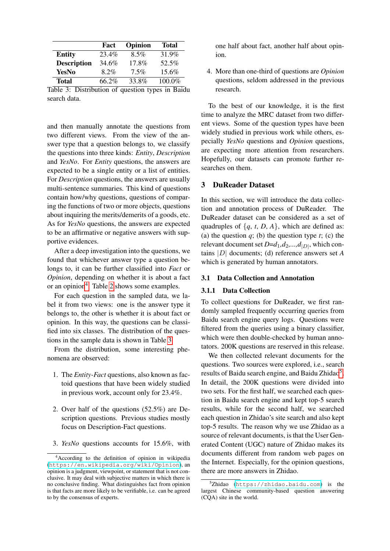|                    | Fact    | Opinion | <b>Total</b> |
|--------------------|---------|---------|--------------|
| <b>Entity</b>      | 23.4%   | 8.5%    | 31.9%        |
| <b>Description</b> | 34.6%   | 17.8%   | 52.5%        |
| YesNo              | $8.2\%$ | $7.5\%$ | 15.6%        |
| <b>Total</b>       | 66.2%   | 33.8%   | 100.0%       |

<span id="page-2-1"></span>Table 3: Distribution of question types in Baidu search data.

and then manually annotate the questions from two different views. From the view of the answer type that a question belongs to, we classify the questions into three kinds: *Entity*, *Description* and *YesNo*. For *Entity* questions, the answers are expected to be a single entity or a list of entities. For *Description* questions, the answers are usually multi-sentence summaries. This kind of questions contain how/why questions, questions of comparing the functions of two or more objects, questions about inquiring the merits/demerits of a goods, etc. As for *YesNo* questions, the answers are expected to be an affirmative or negative answers with supportive evidences.

After a deep investigation into the questions, we found that whichever answer type a question belongs to, it can be further classified into *Fact* or *Opinion*, depending on whether it is about a fact or an opinion<sup>[4](#page-2-0)</sup>. Table [2](#page-1-2) shows some examples.

For each question in the sampled data, we label it from two views: one is the answer type it belongs to, the other is whether it is about fact or opinion. In this way, the questions can be classified into six classes. The distribution of the questions in the sample data is shown in Table [3.](#page-2-1)

From the distribution, some interesting phenomena are observed:

- 1. The *Entity-Fact* questions, also known as factoid questions that have been widely studied in previous work, account only for 23.4%.
- 2. Over half of the questions (52.5%) are Description questions. Previous studies mostly focus on Description-Fact questions.
- 3. *YesNo* questions accounts for 15.6%, with

one half about fact, another half about opinion.

4. More than one-third of questions are *Opinion* questions, seldom addressed in the previous research.

To the best of our knowledge, it is the first time to analyze the MRC dataset from two different views. Some of the question types have been widely studied in previous work while others, especially *YesNo* questions and *Opinion* questions, are expecting more attention from researchers. Hopefully, our datasets can promote further researches on them.

# <span id="page-2-3"></span>3 DuReader Dataset

In this section, we will introduce the data collection and annotation process of DuReader. The DuReader dataset can be considered as a set of quadruples of  $\{q, t, D, A\}$ , which are defined as: (a) the question  $q$ ; (b) the question type  $t$ ; (c) the relevant document set  $D=d_1, d_2, ..., d_{|D|}$ , which contains |D| documents; (d) reference answers set *A* which is generated by human annotators.

# 3.1 Data Collection and Annotation

# 3.1.1 Data Collection

To collect questions for DuReader, we first randomly sampled frequently occurring queries from Baidu search engine query logs. Questions were filtered from the queries using a binary classifier, which were then double-checked by human annotators. 200K questions are reserved in this release.

We then collected relevant documents for the questions. Two sources were explored, i.e., search results of Baidu search engine, and Baidu Zhidao<sup>[5](#page-2-2)</sup>. In detail, the 200K questions were divided into two sets. For the first half, we searched each question in Baidu search engine and kept top-5 search results, while for the second half, we searched each question in Zhidao's site search and also kept top-5 results. The reason why we use Zhidao as a source of relevant documents, is that the User Generated Content (UGC) nature of Zhidao makes its documents different from random web pages on the Internet. Especially, for the opinion questions, there are more answers in Zhidao.

<span id="page-2-0"></span><sup>4</sup>According to the definition of opinion in wikipedia (<https://en.wikipedia.org/wiki/Opinion>), an opinion is a judgment, viewpoint, or statement that is not conclusive. It may deal with subjective matters in which there is no conclusive finding. What distinguishes fact from opinion is that facts are more likely to be verifiable, i.e. can be agreed to by the consensus of experts.

<span id="page-2-2"></span> ${}^{5}Z$ hidao (<https://zhidao.baidu.com>) is the largest Chinese community-based question answering (CQA) site in the world.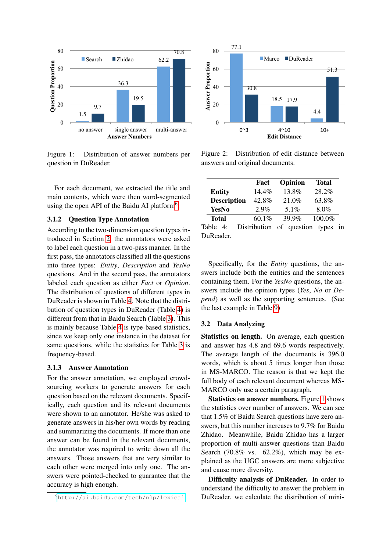

<span id="page-3-2"></span>Figure 1: Distribution of answer numbers per question in DuReader.

For each document, we extracted the title and main contents, which were then word-segmented using the open API of the Baidu AI platform<sup>[6](#page-3-0)</sup>.

# 3.1.2 Question Type Annotation

According to the two-dimension question types introduced in Section [2,](#page-1-3) the annotators were asked to label each question in a two-pass manner. In the first pass, the annotators classified all the questions into three types: *Entity*, *Description* and *YesNo* questions. And in the second pass, the annotators labeled each question as either *Fact* or *Opinion*. The distribution of questions of different types in DuReader is shown in Table [4.](#page-3-1) Note that the distribution of question types in DuReader (Table [4\)](#page-3-1) is different from that in Baidu Search (Table [3\)](#page-2-1). This is mainly because Table [4](#page-3-1) is type-based statistics, since we keep only one instance in the dataset for same questions, while the statistics for Table [3](#page-2-1) is frequency-based.

# 3.1.3 Answer Annotation

For the answer annotation, we employed crowdsourcing workers to generate answers for each question based on the relevant documents. Specifically, each question and its relevant documents were shown to an annotator. He/she was asked to generate answers in his/her own words by reading and summarizing the documents. If more than one answer can be found in the relevant documents, the annotator was required to write down all the answers. Those answers that are very similar to each other were merged into only one. The answers were pointed-checked to guarantee that the accuracy is high enough.



<span id="page-3-3"></span>Figure 2: Distribution of edit distance between answers and original documents.

|                    | Fact         | Opinion     | <b>Total</b> |
|--------------------|--------------|-------------|--------------|
| <b>Entity</b>      | $14.4\%$     | 13.8%       | 28.2%        |
| <b>Description</b> | 42.8%        | 21.0%       | 63.8%        |
| <b>YesNo</b>       | $2.9\%$      | 5.1%        | 8.0%         |
| <b>Total</b>       | 60.1%        | 39.9%       | 100.0%       |
| Table<br>4:        | Distribution | of question | types<br>in  |

<span id="page-3-1"></span>DuReader.

Specifically, for the *Entity* questions, the answers include both the entities and the sentences containing them. For the *YesNo* questions, the answers include the opinion types (*Yes*, *No* or *Depend*) as well as the supporting sentences. (See the last example in Table [9\)](#page-7-7)

#### 3.2 Data Analyzing

Statistics on length. On average, each question and answer has 4.8 and 69.6 words respectively. The average length of the documents is 396.0 words, which is about 5 times longer than those in MS-MARCO. The reason is that we kept the full body of each relevant document whereas MS-MARCO only use a certain paragraph.

Statistics on answer numbers. Figure [1](#page-3-2) shows the statistics over number of answers. We can see that 1.5% of Baidu Search questions have zero answers, but this number increases to 9.7% for Baidu Zhidao. Meanwhile, Baidu Zhidao has a larger proportion of multi-answer questions than Baidu Search (70.8% vs.  $62.2\%$ ), which may be explained as the UGC answers are more subjective and cause more diversity.

Difficulty analysis of DuReader. In order to understand the difficulty to answer the problem in DuReader, we calculate the distribution of mini-

<span id="page-3-0"></span><sup>6</sup><http://ai.baidu.com/tech/nlp/lexical>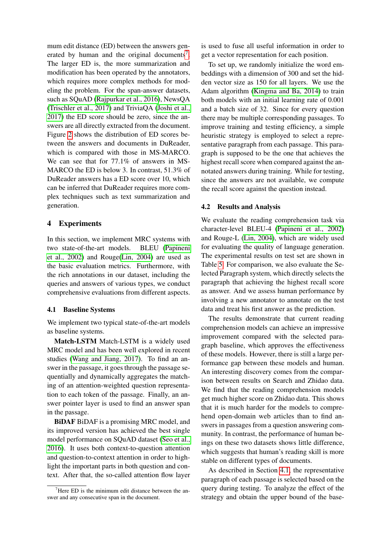mum edit distance (ED) between the answers gen-erated by human and the original documents<sup>[7](#page-4-0)</sup>. The larger ED is, the more summarization and modification has been operated by the annotators, which requires more complex methods for modeling the problem. For the span-answer datasets, such as SQuAD [\(Rajpurkar et al., 2016\)](#page-8-4), NewsQA [\(Trischler et al., 2017\)](#page-8-3) and TriviaQA [\(Joshi et al.,](#page-7-4) [2017\)](#page-7-4) the ED score should be zero, since the answers are all directly extracted from the document. Figure [2](#page-3-3) shows the distribution of ED scores between the answers and documents in DuReader, which is compared with those in MS-MARCO. We can see that for 77.1% of answers in MS-MARCO the ED is below 3. In contrast, 51.3% of DuReader answers has a ED score over 10, which can be inferred that DuReader requires more complex techniques such as text summarization and generation.

## 4 Experiments

In this section, we implement MRC systems with two state-of-the-art models. BLEU [\(Papineni](#page-8-6) [et al., 2002\)](#page-8-6) and Rouge[\(Lin, 2004\)](#page-7-8) are used as the basic evaluation metrics. Furthermore, with the rich annotations in our dataset, including the queries and answers of various types, we conduct comprehensive evaluations from different aspects.

## <span id="page-4-1"></span>4.1 Baseline Systems

We implement two typical state-of-the-art models as baseline systems.

Match-LSTM Match-LSTM is a widely used MRC model and has been well explored in recent studies [\(Wang and Jiang, 2017\)](#page-8-0). To find an answer in the passage, it goes through the passage sequentially and dynamically aggregates the matching of an attention-weighted question representation to each token of the passage. Finally, an answer pointer layer is used to find an answer span in the passage.

BiDAF BiDAF is a promising MRC model, and its improved version has achieved the best single model performance on SQuAD dataset [\(Seo et al.,](#page-8-1) [2016\)](#page-8-1). It uses both context-to-question attention and question-to-context attention in order to highlight the important parts in both question and context. After that, the so-called attention flow layer is used to fuse all useful information in order to get a vector representation for each position.

To set up, we randomly initialize the word embeddings with a dimension of 300 and set the hidden vector size as 150 for all layers. We use the Adam algorithm [\(Kingma and Ba, 2014\)](#page-7-9) to train both models with an initial learning rate of 0.001 and a batch size of 32. Since for every question there may be multiple corresponding passages. To improve training and testing efficiency, a simple heuristic strategy is employed to select a representative paragraph from each passage. This paragraph is supposed to be the one that achieves the highest recall score when compared against the annotated answers during training. While for testing, since the answers are not available, we compute the recall score against the question instead.

#### 4.2 Results and Analysis

We evaluate the reading comprehension task via character-level BLEU-4 [\(Papineni et al., 2002\)](#page-8-6) and Rouge-L [\(Lin, 2004\)](#page-7-8), which are widely used for evaluating the quality of language generation. The experimental results on test set are shown in Table [5.](#page-5-0) For comparison, we also evaluate the Selected Paragraph system, which directly selects the paragraph that achieving the highest recall score as answer. And we assess human performance by involving a new annotator to annotate on the test data and treat his first answer as the prediction.

The results demonstrate that current reading comprehension models can achieve an impressive improvement compared with the selected paragraph baseline, which approves the effectiveness of these models. However, there is still a large performance gap between these models and human. An interesting discovery comes from the comparison between results on Search and Zhidao data. We find that the reading comprehension models get much higher score on Zhidao data. This shows that it is much harder for the models to comprehend open-domain web articles than to find answers in passages from a question answering community. In contrast, the performance of human beings on these two datasets shows little difference, which suggests that human's reading skill is more stable on different types of documents.

As described in Section [4.1,](#page-4-1) the representative paragraph of each passage is selected based on the query during testing. To analyze the effect of the strategy and obtain the upper bound of the base-

<span id="page-4-0"></span> $7$ Here ED is the minimum edit distance between the answer and any consecutive span in the document.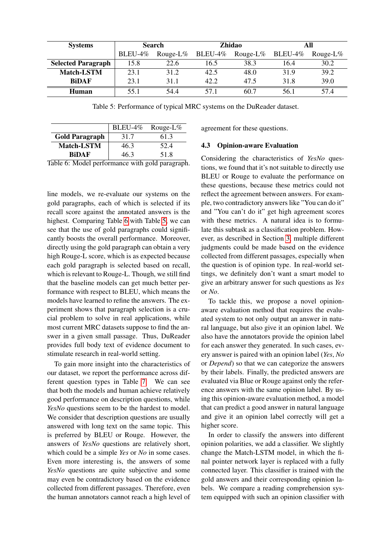| <b>Systems</b>            | <b>Search</b> |             | <b>Zhidao</b> |             | All        |             |
|---------------------------|---------------|-------------|---------------|-------------|------------|-------------|
|                           | BLEU-4%       | Rouge-L $%$ | $BLEU-4\%$    | Rouge-L $%$ | $BLEU-4\%$ | Rouge-L $%$ |
| <b>Selected Paragraph</b> | 15.8          | 22.6        | 16.5          | 38.3        | 16.4       | 30.2        |
| <b>Match-LSTM</b>         | 23.1          | 31.2        | 42.5          | 48.0        | 31.9       | 39.2        |
| <b>BiDAF</b>              | 23.1          | 31.1        | 42.2          | 47.5        | 31.8       | 39.0        |
| Human                     | 55 1          | 544         | 571           | 60.7        | 56.1       | 57.4        |

<span id="page-5-0"></span>Table 5: Performance of typical MRC systems on the DuReader dataset.

|                       | $BLEU-4\%$ | Rouge-L $%$ |
|-----------------------|------------|-------------|
| <b>Gold Paragraph</b> | 31.7       | 61.3        |
| <b>Match-LSTM</b>     | 46.3       | 52.4        |
| <b>RiDAF</b>          | 46.3       | 51.8        |

<span id="page-5-1"></span>Table 6: Model performance with gold paragraph.

line models, we re-evaluate our systems on the gold paragraphs, each of which is selected if its recall score against the annotated answers is the highest. Comparing Table [6](#page-5-1) with Table [5,](#page-5-0) we can see that the use of gold paragraphs could significantly boosts the overall performance. Moreover, directly using the gold paragraph can obtain a very high Rouge-L score, which is as expected because each gold paragraph is selected based on recall, which is relevant to Rouge-L. Though, we still find that the baseline models can get much better performance with respect to BLEU, which means the models have learned to refine the answers. The experiment shows that paragraph selection is a crucial problem to solve in real applications, while most current MRC datasets suppose to find the answer in a given small passage. Thus, DuReader provides full body text of evidence document to stimulate research in real-world setting.

To gain more insight into the characteristics of our dataset, we report the performance across different question types in Table [7.](#page-6-0) We can see that both the models and human achieve relatively good performance on description questions, while *YesNo* questions seem to be the hardest to model. We consider that description questions are usually answered with long text on the same topic. This is preferred by BLEU or Rouge. However, the answers of *YesNo* questions are relatively short, which could be a simple *Yes* or *No* in some cases. Even more interesting is, the answers of some *YesNo* questions are quite subjective and some may even be contradictory based on the evidence collected from different passages. Therefore, even the human annotators cannot reach a high level of agreement for these questions.

## 4.3 Opinion-aware Evaluation

Considering the characteristics of *YesNo* questions, we found that it's not suitable to directly use BLEU or Rouge to evaluate the performance on these questions, because these metrics could not reflect the agreement between answers. For example, two contradictory answers like "You can do it" and "You can't do it" get high agreement scores with these metrics. A natural idea is to formulate this subtask as a classification problem. However, as described in Section [3,](#page-2-3) multiple different judgments could be made based on the evidence collected from different passages, especially when the question is of opinion type. In real-world settings, we definitely don't want a smart model to give an arbitrary answer for such questions as *Yes* or *No*.

To tackle this, we propose a novel opinionaware evaluation method that requires the evaluated system to not only output an answer in natural language, but also give it an opinion label. We also have the annotators provide the opinion label for each answer they generated. In such cases, every answer is paired with an opinion label (*Yes*, *No* or *Depend*) so that we can categorize the answers by their labels. Finally, the predicted answers are evaluated via Blue or Rouge against only the reference answers with the same opinion label. By using this opinion-aware evaluation method, a model that can predict a good answer in natural language and give it an opinion label correctly will get a higher score.

In order to classify the answers into different opinion polarities, we add a classifier. We slightly change the Match-LSTM model, in which the final pointer network layer is replaced with a fully connected layer. This classifier is trained with the gold answers and their corresponding opinion labels. We compare a reading comprehension system equipped with such an opinion classifier with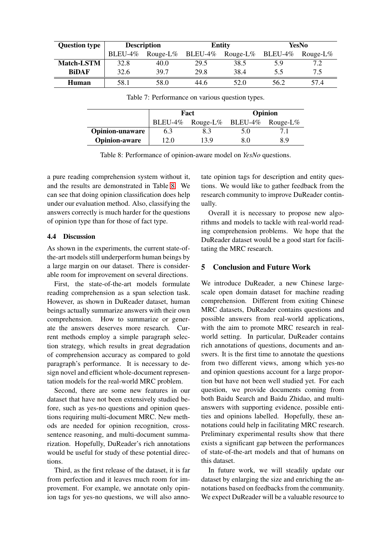| <b>Question type</b> | <b>Description</b> |             | <b>Entity</b> |             | YesNo   |             |
|----------------------|--------------------|-------------|---------------|-------------|---------|-------------|
|                      | BLEU-4%            | Rouge-L $%$ | BLEU-4%       | Rouge-L $%$ | BLEU-4% | Rouge-L $%$ |
| <b>Match-LSTM</b>    | 32.8               | 40.0        | 29.5          | 38.5        | 5.9     | 7.2         |
| <b>BiDAF</b>         | 32.6               | 39.7        | 29.8          | 38.4        | 5.5     | 7.5         |
| Human                | 58.1               | 58.0        | 44.6          | 52.0        | 56.2    | 57.4        |

<span id="page-6-0"></span>Table 7: Performance on various question types.

|                        |                                   | Fact | Opinion |     |  |
|------------------------|-----------------------------------|------|---------|-----|--|
|                        | BLEU-4% Rouge-L% BLEU-4% Rouge-L% |      |         |     |  |
| <b>Opinion-unaware</b> | 6.3                               | 83   | 5.0     |     |  |
| <b>Opinion-aware</b>   | 2.0                               | 13.9 | 80      | 8.9 |  |

<span id="page-6-1"></span>Table 8: Performance of opinion-aware model on *YesNo* questions.

a pure reading comprehension system without it, and the results are demonstrated in Table [8.](#page-6-1) We can see that doing opinion classification does help under our evaluation method. Also, classifying the answers correctly is much harder for the questions of opinion type than for those of fact type.

# 4.4 Discussion

As shown in the experiments, the current state-ofthe-art models still underperform human beings by a large margin on our dataset. There is considerable room for improvement on several directions.

First, the state-of-the-art models formulate reading comprehension as a span selection task. However, as shown in DuReader dataset, human beings actually summarize answers with their own comprehension. How to summarize or generate the answers deserves more research. Current methods employ a simple paragraph selection strategy, which results in great degradation of comprehension accuracy as compared to gold paragraph's performance. It is necessary to design novel and efficient whole-document representation models for the real-world MRC problem.

Second, there are some new features in our dataset that have not been extensively studied before, such as yes-no questions and opinion questions requiring multi-document MRC. New methods are needed for opinion recognition, crosssentence reasoning, and multi-document summarization. Hopefully, DuReader's rich annotations would be useful for study of these potential directions.

Third, as the first release of the dataset, it is far from perfection and it leaves much room for improvement. For example, we annotate only opinion tags for yes-no questions, we will also annotate opinion tags for description and entity questions. We would like to gather feedback from the research community to improve DuReader continually.

Overall it is necessary to propose new algorithms and models to tackle with real-world reading comprehension problems. We hope that the DuReader dataset would be a good start for facilitating the MRC research.

# 5 Conclusion and Future Work

We introduce DuReader, a new Chinese largescale open domain dataset for machine reading comprehension. Different from exiting Chinese MRC datasets, DuReader contains questions and possible answers from real-world applications, with the aim to promote MRC research in realworld setting. In particular, DuReader contains rich annotations of questions, documents and answers. It is the first time to annotate the questions from two different views, among which yes-no and opinion questions account for a large proportion but have not been well studied yet. For each question, we provide documents coming from both Baidu Search and Baidu Zhidao, and multianswers with supporting evidence, possible entities and opinions labelled. Hopefully, these annotations could help in facilitating MRC research. Preliminary experimental results show that there exists a significant gap between the performances of state-of-the-art models and that of humans on this dataset.

In future work, we will steadily update our dataset by enlarging the size and enriching the annotations based on feedbacks from the community. We expect DuReader will be a valuable resource to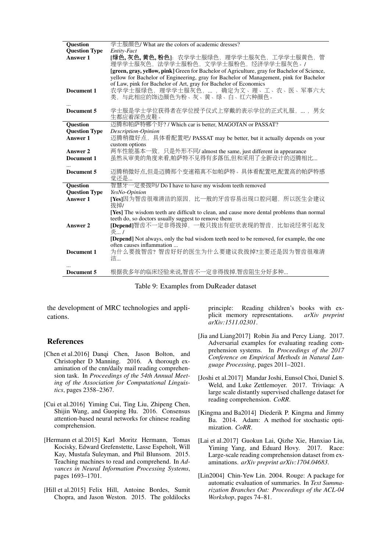| <b>Question</b>      | 学士服颜色/ What are the colors of academic dresses?                                                                             |
|----------------------|-----------------------------------------------------------------------------------------------------------------------------|
| <b>Question Type</b> | Entity-Fact                                                                                                                 |
| Answer 1             | [绿色,灰色,黄色,粉色]: 农学学士服绿色, 理学学士服灰色, 工学学士服黄色, 管<br>理学学士服灰色, 法学学士服粉色, 文学学士服粉色, 经济学学士服灰色。/                                        |
|                      | [green, gray, yellow, pink] Green for Bachelor of Agriculture, gray for Bachelor of Science,                                |
|                      | yellow for Bachelor of Engineering, gray for Bachelor of Management, pink for Bachelor                                      |
|                      | of Law, pink for Bachelor of Art, gray for Bachelor of Economics                                                            |
| Document 1           | 农学学士服绿色, 理学学士服灰色,  , 确定为文、理、工、农、医、军事六大                                                                                      |
|                      | 类, 与此相应的饰边颜色为粉、灰、黄、绿、白、红六种颜色。                                                                                               |
|                      |                                                                                                                             |
| Document 5           | 学士服是学士学位获得者在学位授予仪式上穿戴的表示学位的正式礼服, ,男女                                                                                        |
|                      | 生都应着深色皮鞋。                                                                                                                   |
| <b>Question</b>      | 迈腾和帕萨特哪个好? / Which car is better, MAGOTAN or PASSAT?                                                                        |
| <b>Question Type</b> | Description-Opinion                                                                                                         |
| Answer 1             | 迈腾稍微好点, 具体看配置吧/ PASSAT may be better, but it actually depends on your                                                       |
|                      | custom options                                                                                                              |
| Answer 2             | 两车性能基本一致, 只是外形不同/ almost the same, just different in appearance                                                             |
| Document 1           | 虽然从审美的角度来看,帕萨特不见得有多落伍,但和采用了全新设计的迈腾相比                                                                                        |
| Document 5           | 迈腾稍微好点,但是迈腾那个变速箱真不如帕萨特。具体看配置吧,配置高的帕萨特感                                                                                      |
|                      | 觉还是                                                                                                                         |
| <b>Question</b>      | 智慧牙一定要拔吗/ Do I have to have my wisdom teeth removed                                                                         |
| <b>Question Type</b> | YesNo-Opinion                                                                                                               |
| Answer 1             | [Yes]因为智齿很难清洁的原因, 比一般的牙齿容易出现口腔问题, 所以医生会建议                                                                                   |
|                      | 拔掉/                                                                                                                         |
|                      | [Yes] The wisdom teeth are difficult to clean, and cause more dental problems than normal                                   |
|                      | teeth do, so doctors usually suggest to remove them                                                                         |
| Answer 2             | [Depend]智齿不一定非得拔掉, 一般只拔出有症状表现的智齿, 比如说经常引起发                                                                                  |
|                      | 炎 /                                                                                                                         |
|                      | <b>[Depend]</b> Not always, only the bad wisdom teeth need to be removed, for example, the one<br>often causes inflammation |
| Document 1           | 为什么要拔智齿?智齿好好的医生为什么要建议我拔掉?主要还是因为智齿很难清                                                                                        |
|                      | 洁…                                                                                                                          |
|                      |                                                                                                                             |
| Document 5           | 根据我多年的临床经验来说,智齿不一定非得拔掉.智齿阻生分好多种                                                                                             |
|                      |                                                                                                                             |

<span id="page-7-7"></span>

the development of MRC technologies and applications.

## References

- <span id="page-7-5"></span>[Chen et al.2016] Danqi Chen, Jason Bolton, and Christopher D Manning. 2016. A thorough examination of the cnn/daily mail reading comprehension task. In *Proceedings of the 54th Annual Meeting of the Association for Computational Linguistics*, pages 2358–2367.
- <span id="page-7-2"></span>[Cui et al.2016] Yiming Cui, Ting Liu, Zhipeng Chen, Shijin Wang, and Guoping Hu. 2016. Consensus attention-based neural networks for chinese reading comprehension.
- <span id="page-7-0"></span>[Hermann et al.2015] Karl Moritz Hermann, Tomas Kocisky, Edward Grefenstette, Lasse Espeholt, Will Kay, Mustafa Suleyman, and Phil Blunsom. 2015. Teaching machines to read and comprehend. In *Advances in Neural Information Processing Systems*, pages 1693–1701.
- <span id="page-7-1"></span>[Hill et al.2015] Felix Hill, Antoine Bordes, Sumit Chopra, and Jason Weston. 2015. The goldilocks

principle: Reading children's books with explicit memory representations. *arXiv preprint arXiv:1511.02301*.

- <span id="page-7-6"></span>[Jia and Liang2017] Robin Jia and Percy Liang. 2017. Adversarial examples for evaluating reading comprehension systems. In *Proceedings of the 2017 Conference on Empirical Methods in Natural Language Processing*, pages 2011–2021.
- <span id="page-7-4"></span>[Joshi et al.2017] Mandar Joshi, Eunsol Choi, Daniel S. Weld, and Luke Zettlemoyer. 2017. Triviaqa: A large scale distantly supervised challenge dataset for reading comprehension. *CoRR*.
- <span id="page-7-9"></span>[Kingma and Ba2014] Diederik P. Kingma and Jimmy Ba. 2014. Adam: A method for stochastic optimization. *CoRR*.
- <span id="page-7-3"></span>[Lai et al.2017] Guokun Lai, Qizhe Xie, Hanxiao Liu, Yiming Yang, and Eduard Hovy. 2017. Race: Large-scale reading comprehension dataset from examinations. *arXiv preprint arXiv:1704.04683*.
- <span id="page-7-8"></span>[Lin2004] Chin-Yew Lin. 2004. Rouge: A package for automatic evaluation of summaries. In *Text Summarization Branches Out: Proceedings of the ACL-04 Workshop*, pages 74–81.